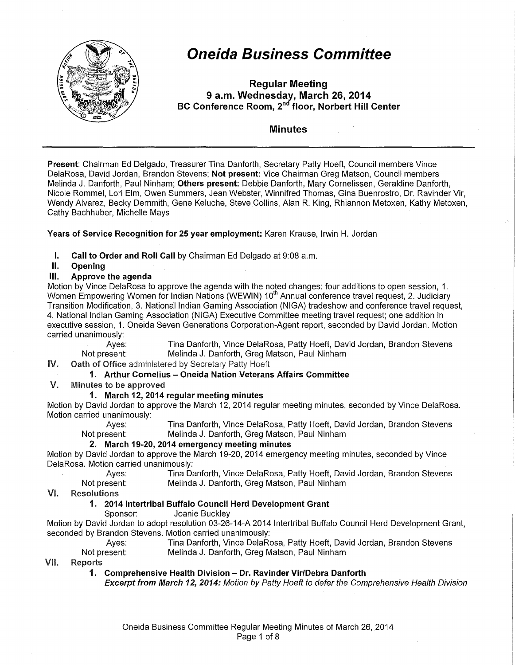

## **Oneida Business Committee**

Regular Meeting 9 a.m. Wednesday, March 26,2014 BC Conference Room, 2"<sup>d</sup> floor, Norbert Hill Center

#### Minutes

Present: Chairman Ed Delgado, Treasurer Tina Danforth, Secretary Patty Hoeft, Council members Vince DelaRosa, David Jordan, Brandon Stevens; Not present; Vice Chairman Greg Matson, Council members Melinda J. Danforth, Paul Ninham; Others present: Debbie Danforth, Mary Cornelissen, Geraldine Danforth, Nicole Rommel, Lori Elm, Owen Summers, Jean Webster, Winnifred Thomas, Gina Buenrostro, Dr. Ravinder Vir, Wendy Alvarez, Becky Demmith, Gene Keluche, Steve Collins, Alan R. King, Rhiannon Metoxen, Kathy Metoxen, Cathy Bachhuber, Michelle Mays

Years of Service Recognition for 25 year employment: Karen Krause, Irwin H. Jordan

**I.** Call to Order and Roll Call by Chairman Ed Delgado at 9:08 a.m.

#### II. Opening

#### Ill. Approve the agenda

Motion by Vince DelaRosa to approve the agenda with the noted changes: four additions to open session, 1. Women Empowering Women for Indian Nations (WEWIN) 10<sup>th</sup> Annual conference travel request, 2. Judiciary Transition Modification, 3. National Indian Gaming Association (NIGA) tradeshow and conference travel request, 4. National Indian Gaming Association (NIGA) Executive Committee meeting travel request; one addition in executive session, 1. Oneida Seven Generations Corporation-Agent report, seconded by David Jordan. Motion carried unanimously:

Ayes: Tina Danforth, Vince DelaRosa, Patty Hoeft, David Jordan, Brandon Stevens<br>Not present: Melinda J. Danforth, Greg Matson, Paul Ninham Melinda J. Danforth, Greg Matson, Paul Ninham

IV. Oath of Office administered by Secretary Patty Hoeft

#### 1. Arthur Cornelius - Oneida Nation Veterans Affairs Committee

V. Minutes to be approved

#### 1. March 12, 2014 regular meeting minutes

Motion by David Jordan to approve the March 12, 2014 regular meeting minutes, seconded by Vince DelaRosa. Motion carried unanimously:<br>Ayes:

Tina Danforth, Vince DelaRosa, Patty Hoeft, David Jordan, Brandon Stevens Not present: Melinda J. Danforth, Greg Matson, Paul Ninham

#### 2. March 19-20, 2014 emergency meeting minutes

Motion by David Jordan to approve the March 19-20, 2014 emergency meeting minutes, seconded by Vince DelaRosa. Motion carried unanimously:

Ayes: Tina Danforth, Vince DelaRosa, Patty Hoeft, David Jordan, Brandon Stevens Not present: Melinda J. Danforth, Greg Matson, Paul Ninham

VI. Resolutions

#### 1. 2014 Intertribal Buffalo Council Herd Development Grant

Sponsor: Joanie Buckley

Motion by David Jordan to adopt resolution 03-26-14-A 2014 Intertribal Buffalo Council Herd Development Grant, seconded by Brandon Stevens. Motion carried unanimously:

Ayes: Tina Danforth, Vince DelaRosa, Patty Hoeft, David Jordan, Brandon Stevens Not present: Melinda J. Danforth, Greg Matson, Paul Ninham

VII. Reports

1. Comprehensive Health Division - Dr. Ravinder Vir/Debra Danforth

Excerpt from March 12, 2014: Motion by Patty Hoeft to defer the Comprehensive Health Division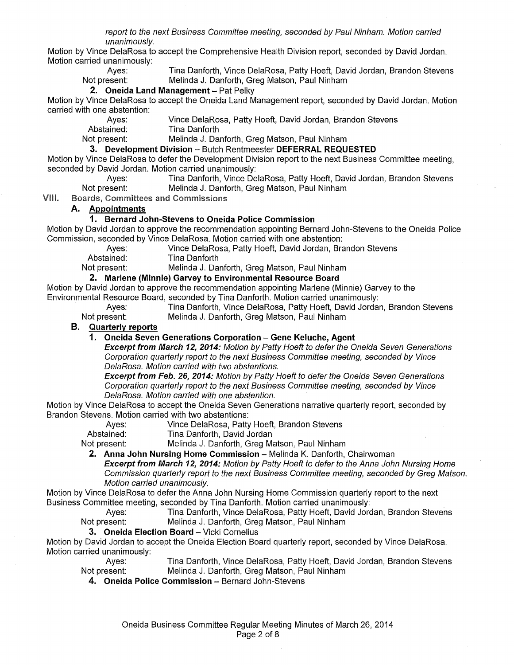report to the next Business Committee meeting, seconded by Paul Ninham. Motion carried unanimously.

Motion by Vince DelaRosa to accept the Comprehensive Health Division report, seconded by David Jordan. Motion carried unanimously:<br>Aves:

Ayes: Tina Danforth, Vince DelaRosa, Patty Hoeft, David Jordan, Brandon Stevens<br>Not present: Melinda J. Danforth, Greg Matson, Paul Ninham Melinda J. Danforth, Greg Matson, Paul Ninham

#### **2. Oneida Land Management-** Pat Pelky

Motion by Vince DelaRosa to accept the Oneida Land Management report, seconded by David Jordan. Motion carried with one abstention:

Ayes: Vince DelaRosa, Patty Hoeft, David Jordan, Brandon Stevens<br>Abstained: Tina Danforth

Abstained: Tina Danforth<br>Not present: Melinda J. Da Melinda J. Danforth, Greg Matson, Paul Ninham

**3. Development Division** - Butch Rentmeester **DEFERRAL REQUESTED** 

Motion by Vince DelaRosa to defer the Development Division report to the next Business Committee meeting, seconded by David Jordan. Motion carried unanimously:

Ayes: Tina Danforth, Vince DelaRosa, Patty Hoeft, David Jordan, Brandon Stevens<br>Not present: Melinda J. Danforth. Greg Matson. Paul Ninham Melinda J. Danforth, Greg Matson, Paul Ninham

VIII. **Boards, Committees and Commissions** 

#### **A. Appointments**

#### **1. Bernard John-Stevens to Oneida Police Commission**

Motion by David Jordan to approve the recommendation appointing Bernard John-Stevens to the Oneida Police Commission, seconded by Vince DelaRosa. Motion carried with one abstention:

Ayes: Vince DelaRosa, Patty Hoeft, David Jordan, Brandon Stevens<br>Abstained: Tina Danforth

**Tina Danforth** 

Not present: Melinda J. Danforth, Greg Matson, Paul Ninham

#### **2. Marlene (Minnie) Garvey to Environmental Resource Board**

Motion by David Jordan to approve the recommendation appointing Marlene (Minnie) Garvey to the Environmental Resource Board, seconded by Tina Danforth. Motion carried unanimously:

Tina Danforth, Vince DelaRosa, Patty Hoeft, David Jordan, Brandon Stevens Not present: Melinda J. Danforth, Greg Matson, Paul Ninham

**B. Quarterly reports** 

#### **1. Oneida Seven Generations Corporation - Gene Keluche, Agent**

**Excerpt from March 12, 2014:** Motion by Patty Hoeft to defer the Oneida Seven Generations Corporation quarlerly reporl to the next Business Committee meeting, seconded by Vince DelaRosa. Motion carried with two abstentions.

**Excerpt from Feb. 26, 2014:** Motion by Patty Hoeft to defer the Oneida Seven Generations Corporation quarlerly reporl to the next Business Committee meeting, seconded by Vince DelaRosa. Motion carried with one abstention.

Motion by Vince DelaRosa to accept the Oneida Seven Generations narrative quarterly report, seconded by Brandon Stevens. Motion carried with two abstentions:

Ayes: Vince DelaRosa, Patty Hoeft, Brandon Stevens<br>Abstained: Tina Danforth, David Jordan

Tina Danforth, David Jordan

Not present: Melinda J. Danforth, Greg Matson, Paul Ninham

**2. Anna John Nursing Home Commission - Melinda K. Danforth, Chairwoman** 

**Excerpt from March 12, 2014:** Motion by Patty Hoeft to defer to the Anna John Nursing Home Commission quarlerly reporl to the next Business Committee meeting, seconded by Greg Matson. Motion carried unanimously.

Motion by Vince DelaRosa to defer the Anna John Nursing Home Commission quarterly report to the next Business Committee meeting, seconded by Tina Danforth. Motion carried unanimously:

Ayes: Tina Danforth, Vince DelaRosa, Patty Hoeft, David Jordan, Brandon Stevens Not present: Melinda J. Danforth, Greg Matson, Paul Ninham

#### **3. Oneida Election Board - Vicki Cornelius**

Motion by David Jordan to accept the Oneida Election Board quarterly report, seconded by Vince DelaRosa. Motion carried unanimously:

Ayes: Tina Danforth, Vince DelaRosa, Patty Hoeft, David Jordan, Brandon Stevens Not present: Melinda J. Danforth, Greg Matson, Paul Ninham

**4. Oneida Police Commission-** Bernard John-Stevens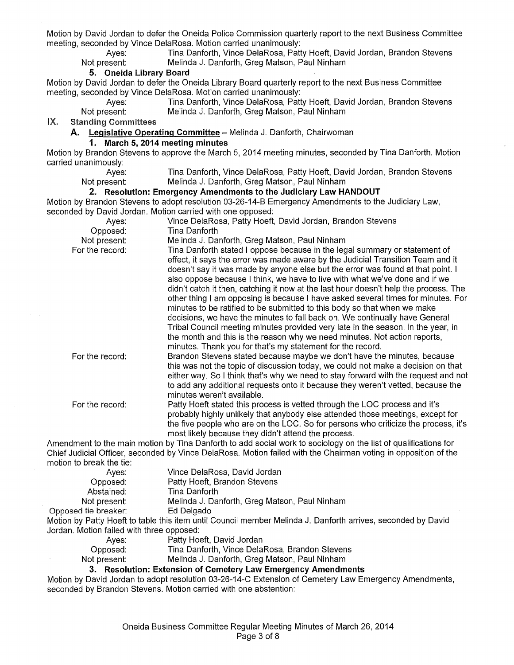Motion by David Jordan to defer the Oneida Police Commission quarterly report to the next Business Committee meeting, seconded by Vince DelaRosa. Motion carried unanimously:

Ayes: Tina Danforth, Vince DelaRosa, Patty Hoeft, David Jordan, Brandon Stevens<br>Not present: Melinda J. Danforth, Greg Matson, Paul Ninham Melinda J. Danforth, Greg Matson, Paul Ninham

#### **5. Oneida Library Board**

Motion by David Jordan to defer the Oneida Library Board quarterly report to the next Business Committee meeting, seconded by Vince DelaRosa. Motion carried unanimously:

Ayes: Tina Danforth, Vince DelaRosa, Patty Hoeft, David Jordan, Brandon Stevens<br>Not present: Melinda J. Danforth, Greg Matson, Paul Ninham Melinda J. Danforth, Greg Matson, Paul Ninham

IX. Standing Committees

**A. Legislative Operating Committee-** Melinda J. Danforth, Chairwoman

#### **1. March 5, 2014 meeting minutes**

Motion by Brandon Stevens to approve the March 5, 2014 meeting minutes, seconded by Tina Danforth. Motion carried unanimously:<br>:Ayes

Ayes: Tina Danforth, Vince DelaRosa, Patty Hoeft, David Jordan, Brandon Stevens<br>Not present: Melinda J. Danforth, Greg Matson, Paul Ninham Melinda J. Danforth, Greg Matson, Paul Ninham

#### **2. Resolution: Emergency Amendments to the Judiciary Law HANDOUT**

Motion by Brandon Stevens to adopt resolution 03-26-14-B Emergency Amendments to the Judiciary Law, seconded by David Jordan. Motion carried with one opposed:

| Ayes:           | Vince DelaRosa, Patty Hoeft, David Jordan, Brandon Stevens                                                                                                                                                                                                                                                                                                                                                                                                                                                                                                                                                                                                                                                                                                                                                                                                                                            |
|-----------------|-------------------------------------------------------------------------------------------------------------------------------------------------------------------------------------------------------------------------------------------------------------------------------------------------------------------------------------------------------------------------------------------------------------------------------------------------------------------------------------------------------------------------------------------------------------------------------------------------------------------------------------------------------------------------------------------------------------------------------------------------------------------------------------------------------------------------------------------------------------------------------------------------------|
| Opposed:        | Tina Danforth                                                                                                                                                                                                                                                                                                                                                                                                                                                                                                                                                                                                                                                                                                                                                                                                                                                                                         |
| Not present:    | Melinda J. Danforth, Greg Matson, Paul Ninham                                                                                                                                                                                                                                                                                                                                                                                                                                                                                                                                                                                                                                                                                                                                                                                                                                                         |
| For the record: | Tina Danforth stated I oppose because in the legal summary or statement of<br>effect, it says the error was made aware by the Judicial Transition Team and it<br>doesn't say it was made by anyone else but the error was found at that point. I<br>also oppose because I think, we have to live with what we've done and if we<br>didn't catch it then, catching it now at the last hour doesn't help the process. The<br>other thing I am opposing is because I have asked several times for minutes. For<br>minutes to be ratified to be submitted to this body so that when we make<br>decisions, we have the minutes to fall back on. We continually have General<br>Tribal Council meeting minutes provided very late in the season, in the year, in<br>the month and this is the reason why we need minutes. Not action reports,<br>minutes. Thank you for that's my statement for the record. |
| For the record: | Brandon Stevens stated because maybe we don't have the minutes, because<br>this was not the topic of discussion today, we could not make a decision on that<br>either way. So I think that's why we need to stay forward with the request and not<br>to add any additional requests onto it because they weren't vetted, because the<br>minutes weren't available.                                                                                                                                                                                                                                                                                                                                                                                                                                                                                                                                    |
| For the record: | Patty Hoeft stated this process is vetted through the LOC process and it's<br>probably highly unlikely that anybody else attended those meetings, except for<br>the five people who are on the LOC. So for persons who criticize the process, it's<br>most likely because they didn't attend the process.                                                                                                                                                                                                                                                                                                                                                                                                                                                                                                                                                                                             |
|                 | Amendment to the main motion by Tina Danforth to add social work to sociology on the list of qualifications for<br>Chief Judicial Officer, seconded by Vince DelaRosa. Motion failed with the Chairman voting in opposition of the                                                                                                                                                                                                                                                                                                                                                                                                                                                                                                                                                                                                                                                                    |

motion to break the tie:

| Aves:                                     | Vince DelaRosa, David Jordan                                                                                 |
|-------------------------------------------|--------------------------------------------------------------------------------------------------------------|
| Opposed:                                  | Patty Hoeft, Brandon Stevens                                                                                 |
| Abstained:                                | Tina Danforth                                                                                                |
| Not present:                              | Melinda J. Danforth, Greg Matson, Paul Ninham                                                                |
| Opposed tie breaker:                      | Ed Delgado                                                                                                   |
|                                           | Motion by Patty Hoeft to table this item until Council member Melinda J. Danforth arrives, seconded by David |
| Jordan. Motion failed with three opposed: |                                                                                                              |
| Aves:                                     | Patty Hoeft, David Jordan                                                                                    |

| Ayes.        | <b>Fally HUBIL David JUIUAII</b>               |
|--------------|------------------------------------------------|
| Opposed:     | Tina Danforth, Vince DelaRosa, Brandon Stevens |
| Not present: | Melinda J. Danforth, Greg Matson, Paul Ninham  |
|              |                                                |

#### **3. Resolution: Extension of Cemetery Law Emergency Amendments**

Motion by David Jordan to adopt resolution 03-26-14-C Extension of Cemetery Law Emergency Amendments, seconded by Brandon Stevens. Motion carried with one abstention: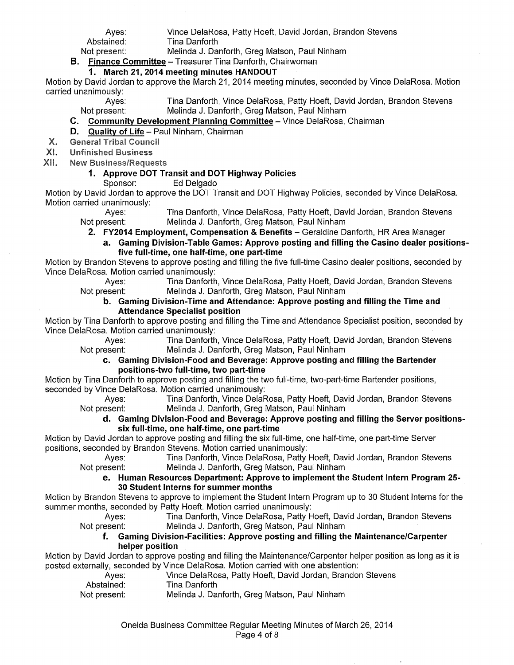| Aves:                                                | Vince DelaRosa, Patty Hoeft, David Jordan, Brandon Stevens |  |
|------------------------------------------------------|------------------------------------------------------------|--|
| Abstained:                                           | Tina Danforth                                              |  |
| Not present:                                         | Melinda J. Danforth, Greg Matson, Paul Ninham              |  |
| Einange Committee Treasurer Ting Danferth Chainveman |                                                            |  |

### **B. Finance Committee-** Treasurer Tina Danforth, Chairwoman

### **1. March 21, 2014 meeting minutes HANDOUT**

Motion by David Jordan to approve the March 21,2014 meeting minutes, seconded by Vince DelaRosa. Motion carried unanimously:

Ayes: Tina Danforth, Vince DelaRosa, Patty Hoeft, David Jordan, Brandon Stevens Not present: Melinda J. Danforth, Greg Matson, Paul Ninham

**C. Community Development Planning Committee-** Vince DelaRosa, Chairman

#### **D. Quality of Life-** Paul Ninham, Chairman

Х. **General Tribal Council** 

XI. Unfinished Business

XII. **New Business/Requests** 

#### **1. Approve DOT Transit and DOT Highway Policies**

Sponsor: Ed Delgado

Motion by David Jordan to approve the DOT Transit and DOT Highway Policies, seconded by Vince DelaRosa. Motion carried unanimously:

Ayes: Tina Danforth, Vince DelaRosa, Patty Hoeft, David Jordan, Brandon Stevens Not present: Melinda J. Danforth, Greg Matson, Paul Ninham

**2. FY2014 Employment, Compensation & Benefits-** Geraldine Danforth, HR Area Manager

**a. Gaming Division-Table Games: Approve posting and filling the Casino dealer positionsfive full-time, one half-time, one part-time** 

Motion by Brandon Stevens to approve posting and filling the five full-time Casino dealer positions, seconded by Vince DelaRosa. Motion carried unanimously:

Ayes: Tina Danforth, Vince DelaRosa, Patty Hoeft, David Jordan, Brandon Stevens Not present: Melinda J. Danforth, Greg Matson, Paul Ninham

#### **b. Gaming Division-Time and Attendance: Approve posting and filling the Time and Attendance Specialist position**

Motion by Tina Danforth to approve posting and filling the Time and Attendance Specialist position, seconded by Vince DelaRosa. Motion carried unanimously:

Ayes: Tina Danforth, Vince DelaRosa, Patty Hoeft, David Jordan, Brandon Stevens Not present: Melinda J. Danforth, Greg Matson, Paul Ninham

**c. Gaming Division-Food and Beverage: Approve posting and filling the Bartender positions-two full-time, two part-time** 

Motion by Tina Danforth to approve posting and filling the two full-time, two-part-time Bartender positions, seconded by Vince DelaRosa. Motion carried unanimously:

Ayes: Tina Danforth, Vince DelaRosa, Patty Hoeft, David Jordan, Brandon Stevens Not present: Melinda J. Danforth, Greg Matson, Paul Ninham

#### **d. Gaming Division-Food and Beverage: Approve posting and filling the Server positionssix full-time, one half-time, one part-time**

Motion by David Jordan to approve posting and filling the six full-time, one half-time, one part-time Server positions, seconded by Brandon Stevens. Motion carried unanimously:

Ayes: Tina Danforth, Vince DelaRosa, Patty Hoeft, David Jordan, Brandon Stevens Not present: Melinda J. Danforth, Greg Matson, Paul Ninham

#### **e. Human Resources Department: Approve to implement the Student Intern Program 25- 30 Student Interns for summer months**

Motion by Brandon Stevens to approve to implement the Student Intern Program up to 30 Student Interns for the summer months, seconded by Patty Hoeft. Motion carried unanimously:

Ayes: Tina Danforth, Vince DelaRosa, Patty Hoeft, David Jordan, Brandon Stevens Not present: Melinda J. Danforth, Greg Matson, Paul Ninham

#### **f. Gaming Division-Facilities: Approve posting and filling the Maintenance/Carpenter helper position**

Motion by David Jordan to approve posting and filling the Maintenance/Carpenter helper position as long as it is posted externally, seconded by Vince DelaRosa. Motion carried with one abstention:

- -
- Ayes: Vince DelaRosa, Patty Hoeft, David Jordan, Brandon Stevens Abstained: Tina Danforth
- Not present: Melinda J. Danforth, Greg Matson, Paul Ninham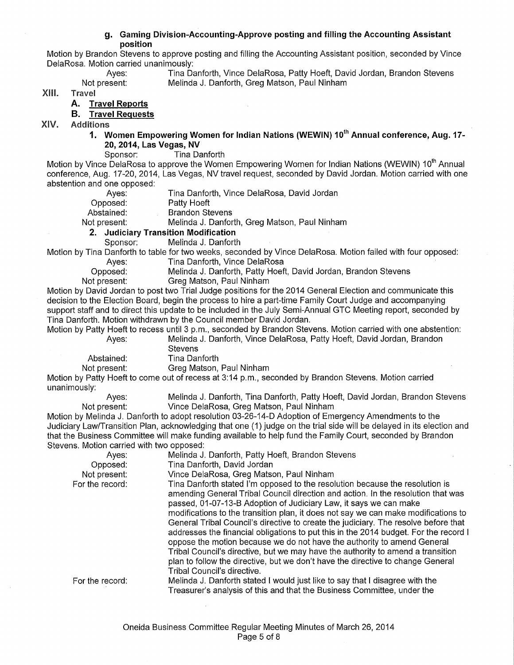#### **g. Gaming Division-Accounting-Approve posting and filling the Accounting Assistant position**

Motion by Brandon Stevens to approve posting and filling the Accounting Assistant position, seconded by Vince DelaRosa. Motion carried unanimously:

Ayes: Tina Danforth, Vince DelaRosa, Patty Hoeft, David Jordan, Brandon Stevens Not present: Melinda J. Danforth, Greg Matson, Paul Ninham

XIII. Travel

#### **A. Travel Reports**

#### **B. Travel Requests**

XIV. Additions

**1. Women Empowering Women for Indian Nations (WEWIN) 10<sup>1</sup> h Annual conference, Aug. 17- 20, 2014, Las Vegas, NV** 

Sponsor: Tina Danforth

Motion by Vince DelaRosa to approve the Women Empowering Women for Indian Nations (WEWIN) 10<sup>th</sup> Annual conference, Aug. 17-20, 2014, Las Vegas, NV travel request, seconded by David Jordan. Motion carried with one abstention and one opposed:

| Not present: | Melinda J. Danforth, Greg Matson, Paul Ninham<br>2. Judiciary Transition Modification |
|--------------|---------------------------------------------------------------------------------------|
| Abstained:   | <b>Brandon Stevens</b>                                                                |
| Opposed:     | Patty Hoeft                                                                           |
| Aves:        | Tina Danforth, Vince DelaRosa, David Jordan                                           |

Sponsor: Melinda J. Danforth

Motion by Tina Danforth to table for two weeks, seconded by Vince DelaRosa. Motion failed with four opposed: Ayes: Tina Danforth, Vince DelaRosa

Opposed: Melinda J. Danforth, Patty Hoeft, David Jordan, Brandon Stevens Not present: Greg Matson, Paul Ninham

Motion by David Jordan to post two Trial Judge positions for the 2014 General Election and communicate this decision to the Election Board, begin the process to hire a part-time Family Court Judge and accompanying support staff and to direct this update to be included in the July Semi-Annual GTC Meeting report, seconded by Tina Danforth. Motion withdrawn by the Council member David Jordan.

Motion by Patty Hoeft to recess until 3 p.m., seconded by Brandon Stevens. Motion carried with one abstention: Ayes: Melinda J. Danforth, Vince DelaRosa, Patty Hoeft, David Jordan, Brandon **Stevens** 

Abstained: Tina Danforth

Not present: Greg Matson, Paul Ninham

Motion by Patty Hoeft to come out of recess at 3:14 p.m., seconded by Brandon Stevens. Motion carried unanimously:

Ayes: Melinda J. Danforth, Tina Danforth, Patty Hoeft, David Jordan, Brandon Stevens Not present: Vince DelaRosa, Greg Matson, Paul Ninham

Motion by Melinda J. Danforth to adopt resolution 03-26-14-D Adoption of Emergency Amendments to the Judiciary Law/Transition Plan, acknowledging that one (1) judge on the trial side will be delayed in its election and that the Business Committee will make funding available to help fund the Family Court, seconded by Brandon Stevens. Motion carried with two opposed:

| Ayes:           | Melinda J. Danforth, Patty Hoeft, Brandon Stevens                                                                                                                                                                                                                                                                                                                                                                                                                                                                                                                                                                                                                                                                                                                                          |
|-----------------|--------------------------------------------------------------------------------------------------------------------------------------------------------------------------------------------------------------------------------------------------------------------------------------------------------------------------------------------------------------------------------------------------------------------------------------------------------------------------------------------------------------------------------------------------------------------------------------------------------------------------------------------------------------------------------------------------------------------------------------------------------------------------------------------|
| Opposed:        | Tina Danforth, David Jordan                                                                                                                                                                                                                                                                                                                                                                                                                                                                                                                                                                                                                                                                                                                                                                |
| Not present:    | Vince DelaRosa, Greg Matson, Paul Ninham                                                                                                                                                                                                                                                                                                                                                                                                                                                                                                                                                                                                                                                                                                                                                   |
| For the record: | Tina Danforth stated I'm opposed to the resolution because the resolution is<br>amending General Tribal Council direction and action. In the resolution that was<br>passed, 01-07-13-B Adoption of Judiciary Law, it says we can make<br>modifications to the transition plan, it does not say we can make modifications to<br>General Tribal Council's directive to create the judiciary. The resolve before that<br>addresses the financial obligations to put this in the 2014 budget. For the record I<br>oppose the motion because we do not have the authority to amend General<br>Tribal Council's directive, but we may have the authority to amend a transition<br>plan to follow the directive, but we don't have the directive to change General<br>Tribal Council's directive. |
| For the record: | Melinda J. Danforth stated I would just like to say that I disagree with the                                                                                                                                                                                                                                                                                                                                                                                                                                                                                                                                                                                                                                                                                                               |
|                 | Treasurer's analysis of this and that the Business Committee, under the                                                                                                                                                                                                                                                                                                                                                                                                                                                                                                                                                                                                                                                                                                                    |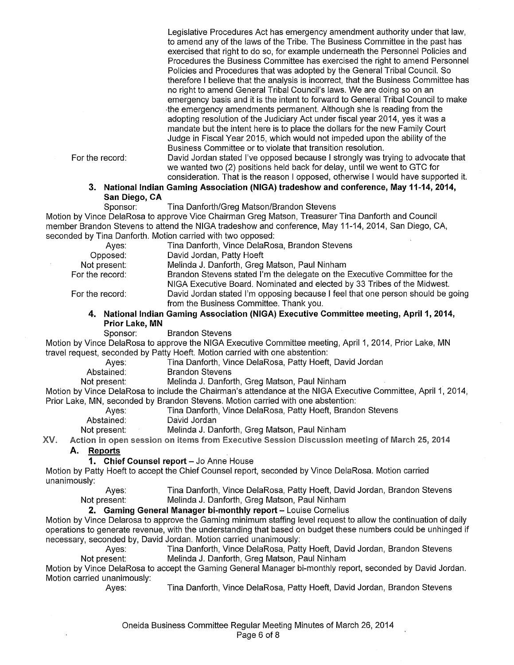Legislative Procedures Act has emergency amendment authority under that law, to amend any of the laws of the Tribe. The Business Committee in the past has exercised that right to do so, for example underneath the Personnel Policies and Procedures the Business Committee has exercised the right to amend Personnel Policies and Procedures that was adopted by the General Tribal Council. So therefore I believe that the analysis is incorrect, that the Business Committee has no right to amend General Tribal Council's laws. We are doing so on an emergency basis and it is the intent to forward to General Tribal Council to make -the emergency amendments permanent. Although she is reading from the adopting resolution of the Judiciary Act under fiscal year 2014, yes it was a mandate but the intent here is to place the dollars for the new Family Court Judge in Fiscal Year 2015, which would not impeded upon the ability of the Business Committee or to violate that transition resolution.

For the record:

David Jordan stated I've opposed because I strongly was trying to advocate that we wanted two (2) positions held back for delay, until we went to GTC for consideration. That is the reason I opposed, otherwise I would have supported it.

#### **3. National Indian Gaming Association (NIGA) tradeshow and conference, May 11-14, 2014, San Diego, CA**

Sponsor: Tina Danforth/Greg Matson/Brandon Stevens

Motion by Vince DelaRosa to approve Vice Chairman Greg Matson, Treasurer Tina Danforth and Council member Brandon Stevens to attend the NIGA tradeshow and conference, May 11-14, 2014, San Diego, CA, seconded by Tina Danforth. Motion carried with two opposed:

| Aves:                                                                                                                                                                                                                                                                                | Tina Danforth, Vince DelaRosa, Brandon Stevens                                  |
|--------------------------------------------------------------------------------------------------------------------------------------------------------------------------------------------------------------------------------------------------------------------------------------|---------------------------------------------------------------------------------|
| Opposed:                                                                                                                                                                                                                                                                             | David Jordan, Patty Hoeft                                                       |
| Not present:                                                                                                                                                                                                                                                                         | Melinda J. Danforth, Greg Matson, Paul Ninham                                   |
| For the record:                                                                                                                                                                                                                                                                      | Brandon Stevens stated I'm the delegate on the Executive Committee for the      |
|                                                                                                                                                                                                                                                                                      | NIGA Executive Board. Nominated and elected by 33 Tribes of the Midwest.        |
| For the record:                                                                                                                                                                                                                                                                      | David Jordan stated I'm opposing because I feel that one person should be going |
|                                                                                                                                                                                                                                                                                      | from the Business Committee. Thank you.                                         |
| 4. National Indian Gaming Association (NIGA) Executive Committee meeting, April 1, 2014,                                                                                                                                                                                             |                                                                                 |
| $P_1, P_2, P_3, P_4, P_5, P_6, P_7, P_8, P_9, P_1, P_1, P_2, P_1, P_2, P_3, P_4, P_5, P_6, P_7, P_8, P_8, P_9, P_1, P_2, P_1, P_2, P_1, P_2, P_1, P_2, P_2, P_3, P_4, P_4, P_5, P_6, P_6, P_7, P_7, P_8, P_8, P_9, P_9, P_1, P_1, P_2, P_1, P_2, P_1, P_2, P_1, P_2, P_2, P_1, P_2,$ |                                                                                 |

# **Prior Lake, MN**

Sponsor: Brandon Stevens

Motion by Vince DelaRosa to approve the NIGA Executive Committee meeting, April 1, 2014, Prior Lake, MN travel request, seconded by Patty Hoeft. Motion carried with one abstention:

Ayes: Tina Danforth, Vince DelaRosa, Patty Hoeft, David Jordan

Abstained: Brandon Stevens

Not present: Melinda J. Danforth, Greg Matson, Paul Ninham

Motion by Vince DelaRosa to include the Chairman's attendance at the NIGA Executive Committee, April 1, 2014, Prior Lake, MN, seconded by Brandon Stevens. Motion carried with one abstention:

Ayes: Tina Danforth, Vince DelaRosa, Patty Hoeft, Brandon Stevens

Abstained: David Jordan

Not present: Melinda J. Danforth, Greg Matson, Paul Ninham

XV. Action in open session on items from Executive Session Discussion meeting of March 25, 2014

#### **A. Reports**

#### **1. Chief Counsel report - Jo Anne House**

Motion by Patty Hoeft to accept the Chief Counsel report, seconded by Vince DelaRosa. Motion carried unanimously:

Ayes: Tina Danforth, Vince DelaRosa, Patty Hoeft, David Jordan, Brandon Stevens Not present: Melinda J. Danforth, Greg Matson, Paul Ninham

#### **2. Gaming General Manager bi-monthly report - Louise Cornelius**

Motion by Vince Delarosa to approve the Gaming minimum staffing level request to allow the continuation of daily operations to generate revenue, with the understanding that based on budget these numbers could be unhinged if necessary, seconded by, David Jordan. Motion carried unanimously:

Ayes: Tina Danforth, Vince DelaRosa, Patty Hoeft, David Jordan, Brandon Stevens Not present: Melinda J. Danforth, Greg Matson, Paul Ninham

Motion by Vince DelaRosa to accept the Gaming General Manager bi-monthly report, seconded by David Jordan. Motion carried unanimously:

Ayes: Tina Danforth, Vince DelaRosa, Patty Hoeft, David Jordan, Brandon Stevens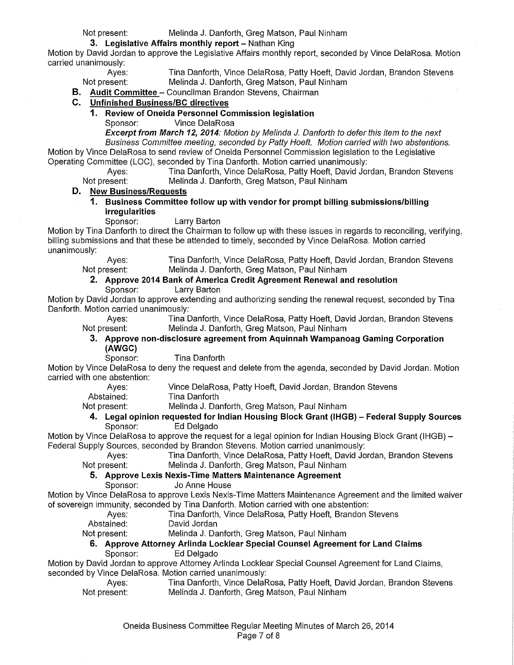#### Not present: Melinda J. Danforth, Greg Matson, Paul Ninham

#### **3. Legislative Affairs monthly report-** Nathan King

Motion by David Jordan to approve the Legislative Affairs monthly report, seconded by Vince DelaRosa. Motion carried unanimously:

Ayes: Tina Danforth, Vince DelaRosa, Patty Hoeft, David Jordan, Brandon Stevens<br>Not present: Melinda J. Danforth, Greg Matson, Paul Ninham Melinda J. Danforth, Greg Matson, Paul Ninham

**B. Audit Committee-** Councilman Brandon Stevens, Chairman

#### **C. Unfinished Business/Be directives**

# **1. Review of Oneida Personnel Commission legislation**

Vince DelaRosa

**Excerpt from March 12, 2014:** Motion by Melinda *J.* Danforth to defer this item to the next Business Committee meeting, seconded by Patty Hoeft. Motion carried with two abstentions. Motion by Vince DelaRosa to send review of Oneida Personnel Commission legislation to the Legislative Operating Committee (LOC), seconded by Tina Danforth. Motion carried unanimously:

Ayes: Tina Danforth, Vince DelaRosa, Patty Hoeft, David Jordan, Brandon Stevens<br>Not present: Melinda J. Danforth, Greg Matson, Paul Ninham Melinda J. Danforth, Greg Matson, Paul Ninham

#### **D. New Business/Requests**

**1. Business Committee follow up with vendor for prompt billing submissions/billing irregularities** 

Larry Barton

Motion by Tina Danforth to direct the Chairman to follow up with these issues in regards to reconciling, verifying, billing submissions and that these be attended to timely, seconded by Vince DelaRosa. Motion carried unanimously:

Ayes: Tina Danforth, Vince DelaRosa, Patty Hoeft, David Jordan, Brandon Stevens<br>Not present: Melinda J. Danforth, Greg Matson, Paul Ninham Melinda J. Danforth, Greg Matson, Paul Ninham

## **2. Approve 2014 Bank of America Credit Agreement Renewal and resolution**

Sponsor: Larry Barton

Motion by David Jordan to approve extending and authorizing sending the renewal request, seconded by Tina Danforth. Motion carried unanimously:

Ayes: Tina Danforth, Vince DelaRosa, Patty Hoeft, David Jordan, Brandon Stevens Not present: Melinda J. Danforth, Greg Matson, Paul Ninham

## **3. Approve non-disclosure agreement from Aquinnah Wampanoag Gaming Corporation (AWGC)**

**Tina Danforth** 

Motion by Vince DelaRosa to deny the request and delete from the agenda, seconded by David Jordan. Motion carried with one abstention:

Ayes: Vince DelaRosa, Patty Hoeft, David Jordan, Brandon Stevens

Abstained: Tina Danforth

Not present: Melinda J. Danforth, Greg Matson, Paul Ninham

#### **4. Legal opinion requested for Indian Housing Block Grant (IHGB)- Federal Supply Sources**  Ed Delgado

Motion by Vince DelaRosa to approve the request for a legal opinion for Indian Housing Block Grant (IHGB)- Federal Supply Sources, seconded by Brandon Stevens. Motion carried unanimously:

Ayes: Tina Danforth, Vince DelaRosa, Patty Hoeft, David Jordan, Brandon Stevens<br>Not present: Melinda J. Danforth, Greg Matson, Paul Ninham Melinda J. Danforth, Greg Matson, Paul Ninham

#### **5. Approve Lexis Nexis-Time Matters Maintenance Agreement**

Sponsor: Jo Anne House

Motion by Vince DelaRosa to approve Lexis Nexis-Time Matters Maintenance Agreement and the limited waiver of sovereign immunity, seconded by Tina Danforth. Motion carried with one abstention:

Ayes: Tina Danforth, Vince DelaRosa, Patty Hoeft, Brandon Stevens

Abstained: David Jordan

Not present: Melinda J. Danforth, Greg Matson, Paul Ninham

### **6. Approve Attorney Arlinda Locklear Special Counsel Agreement for Land Claims**

Sponsor: Ed Delgado

Motion by David Jordan to approve Attorney Arlinda Locklear Special Counsel Agreement for Land Claims, seconded by Vince DelaRosa. Motion carried unanimously:

Ayes: Tina Danforth, Vince DelaRosa, Patty Hoeft, David Jordan, Brandon Stevens Not present: Melinda J. Danforth, Greg Matson, Paul Ninham